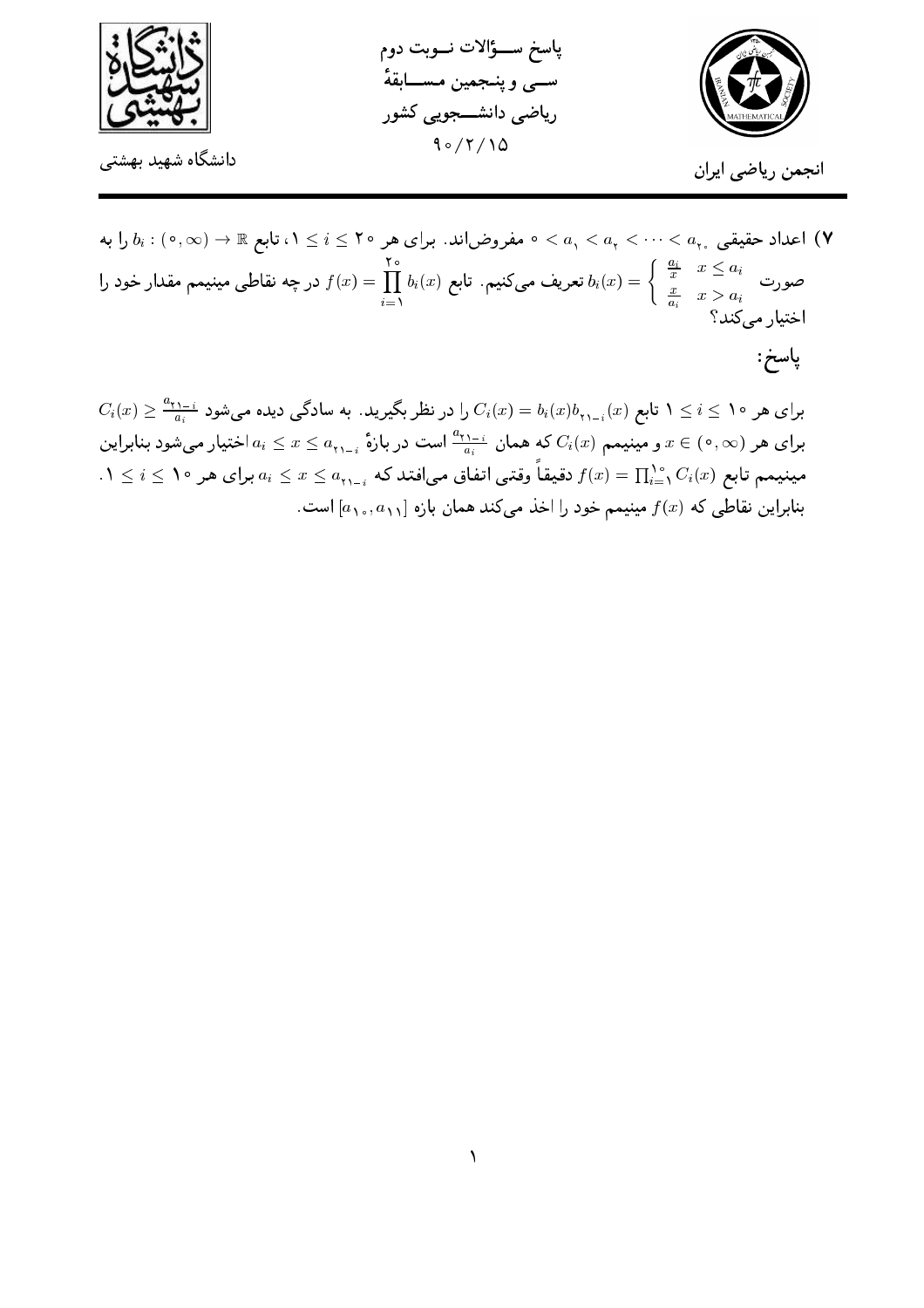

پاسخ ســؤالات نــوبت دوم ســـي و پنــجمين مـســـابقهٔ ریاضی دانشـــجویی کشور  $90/7/10$ 



انجمن رياضي ايران

اعداد حقیقی  $a_\chi < \cdots < a_\chi < a_\chi < a_\chi$  > مفروضاند. برای هر ۲۰ ≥ i > ۱، تابع &  $b_i : ( \circ, \infty) \to \mathbb{R}$  را به  $\mathsf{Y}$ صورت میں  $a_i$   $x \leq a_i$  تعریف میںکنیم. تابع  $f(x) = \prod_{i=1}^{\mathsf{v} \, \circ} b_i(x) = \prod_{i=1}^{\mathsf{v} \, \circ} b_i(x) = b_i(x) = \left\{ \begin{array}{ll} \frac{a_i}{x} & x \leq a_i \ \frac{x}{a_i} & x > a_i \end{array} \right.$ اختيار مي كند؟ پاسخ:

 $C_i(x)\geq \frac{a_{\tau\lambda-i}}{a_i}$  برای هر ۱۰ $i\leq i\leq n$  تابع  $C_i(x)=b_i(x)$  را در نظر بگیرید. به سادگی دیده میشود برای هر  $x\in(\,\circ\,,\infty)$  و مینیمم  $C_i(x)$ که همان  $\frac{a_{\,1}+\alpha}{a_i}$  است در بازهٔ  $a_{\,1}$  بر $x\leq a_{\,1}$  اختیار می $x\in(\,\circ\,,\infty)$  $0\leq i\leq n$ مینیمم تابع  $C_i(x)=\prod_{i=1}^{\infty}c_i(x)$  دقیقاً وقتی اتفاق می|فتد که  $a_{i_1-i_1}\leq x\leq a_{i_2-i_3}$  برای هر ۱۰  $i\leq i\leq n$ بنابراین نقاطی که  $f(x)$  مینیمم خود را اخذ میکند همان بازه  $[a_{1}, a_{11}]$  است.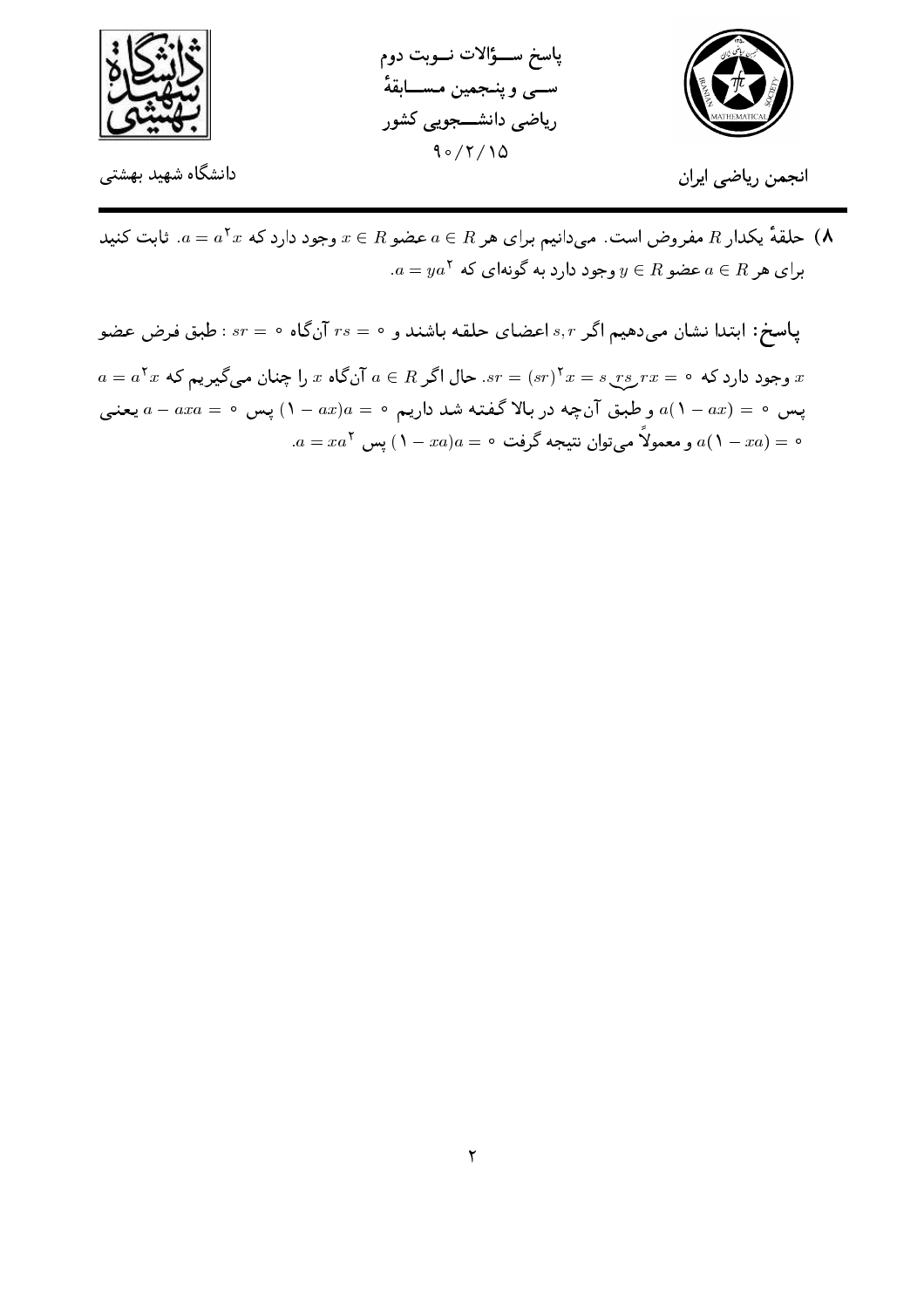





انجمن رياضي ايران

علقهٔ یکدار R مفروض است. میدانیم برای هر  $a \in R$  عضو  $x \in x$  وجود دارد که  $a^{\texttt{+}} x$ . ثابت کنید (۸  $a = ya^{\dagger}$  برای هر  $a \in R$  عضو  $y \in R$  وجود دارد به گونهای که  $a$ 

ياسخ: ابتدا نشان مى دهيم اگر s,r اعضاى حلقه باشند و ٠ = ٢s آن گاه ٠ = ٠sr غلبق فرض عضو  $a = a^{\dagger}x$  وجود دارد که  $x = s\_rs\_rx = (sr)^{\dagger}x = s\_rs\_rx = (sr)^{\dagger}x = s\_rs\_rx = s$  آنگاه  $x$  را چنان مییگیریم که پس ٥ = (١- ٥)، و طبق آنچه در بالا گفته شد داریم ٥ = ١٥) به ص ٥ = ۵ بعنبي  $a = x a^{\mathsf{T}}$ ه  $a = (1 - x a) a = 0$  و معمولاً میتوان نتیجه گرفت  $a = (1 - x a)$  پس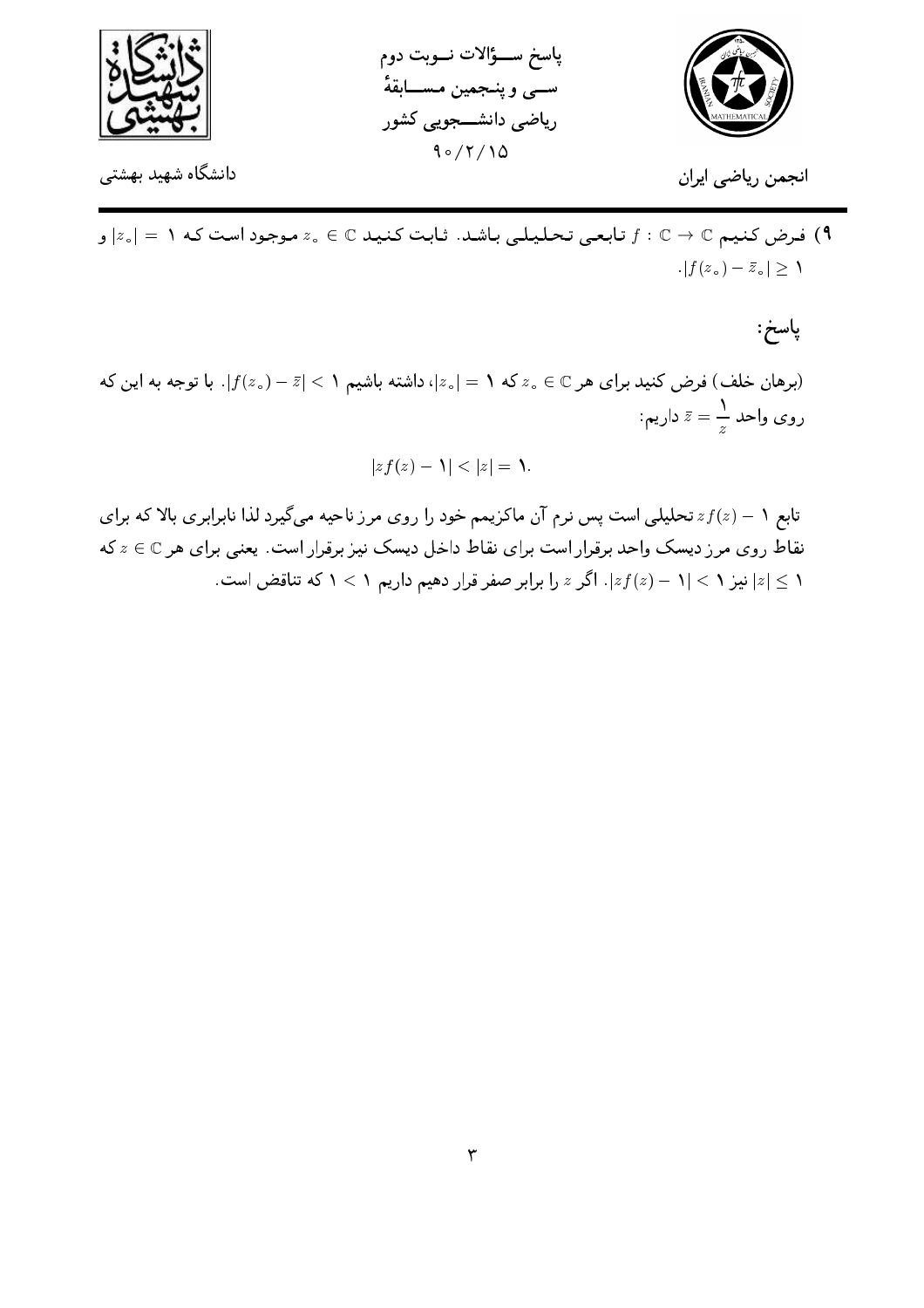



انجمن رياضي ايران

ا فرض کنیم جورد است که ا $\mathbb{C} \to \mathbb{Z}$  تابعی تحلیلی باشد. ثابت کنید جنگ دی کنیم عنیم C ا  $|f(z_{\circ}) - \bar{z}_{\circ}| \geq 1$ 

پاسخ:

برهان خلف) فرض کنید برای هر $z_\circ\in\mathbb{C}$  که ۱ $|z_\circ|=|z_\circ|$ ، داشته باشیم ۱ $|z|<|f(z_\circ)-f(z_\circ)|$ . با توجه به این که روی واحد  $\bar{z}=\frac{1}{z}$  داریم:

 $|zf(z) - \mathcal{Y}| < |z| = \mathcal{Y}.$ 

تابع ۱ –  $zf(z)$  تحلیلی است پس نرم آن ماکزیمم خود را روی مرز ناحیه میگیرد لذا نابرابری بالا که برای نقاط روی مرز دیسک واحد برقرار است برای نقاط داخل دیسک نیز برقرار است. یعنبی برای هر © € ۵ که ا نیز ۱ $|z| < |z - 1| < |z - 1|$ . اگر  $z$  را برابر صفر قرار دهیم داریم ۱ $|z| < 1$  که تناقض است.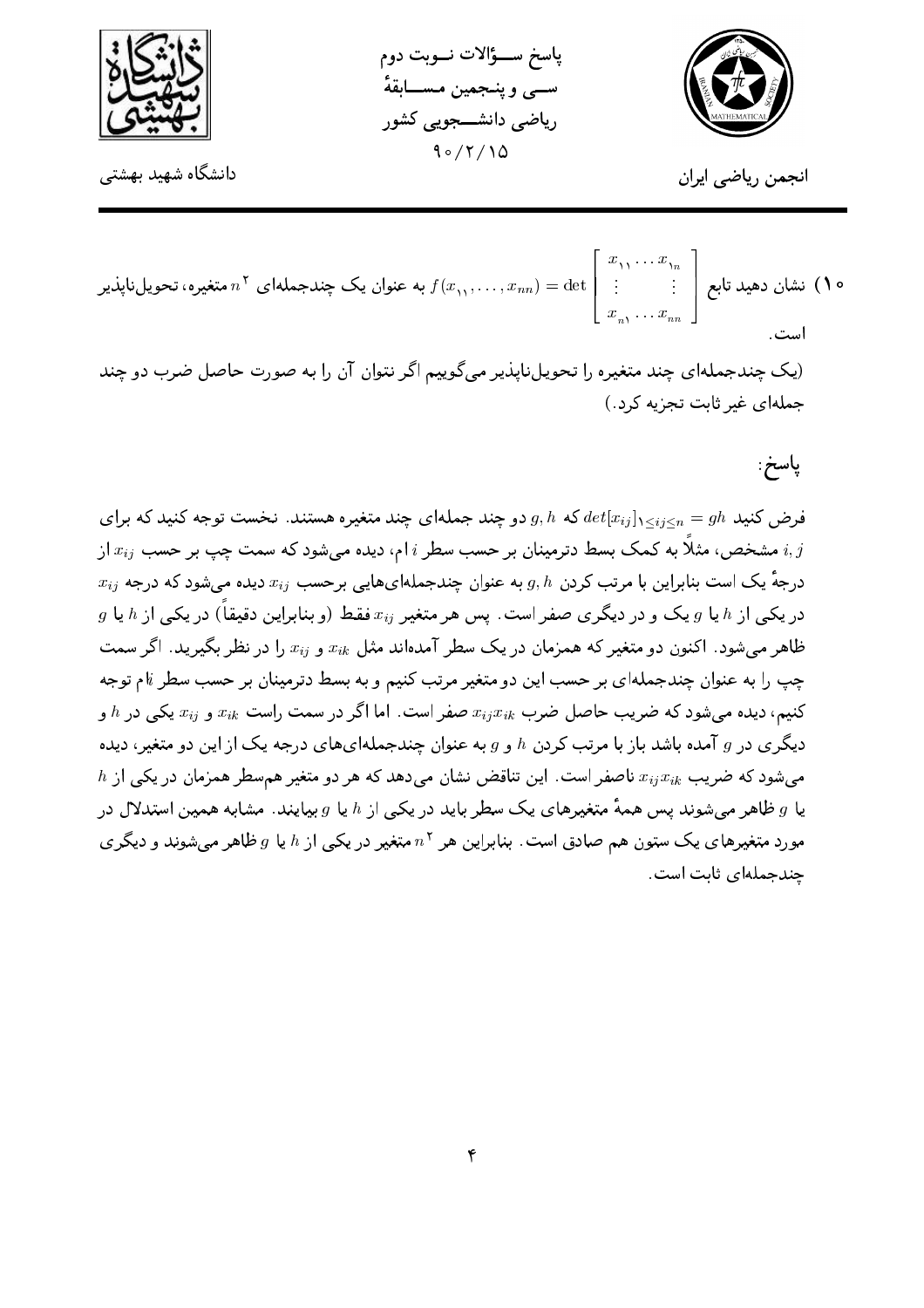

پاسخ ســـؤالات نـــوبت دوم ســـي و پنــجمين مــســــابقهٔ ریاضی دانشـــجویی کشور  $90/7/10$ 



انجمن رياضي ايران

ه ۱) نشان دهید تابع  $\left|\begin{array}{c} \vdots \vdots \end{array}\right. \left. \vdots \right.$ به عنوان یک چندجملهای  $n^{\mathsf{v}}$  متغیره، تحویل $u^{\mathsf{v}}$ 

(یک چندجملهای چند متغیره را تحویلناپذیر می گوییم اگر نتوان آن را به صورت حاصل ضرب دو چند جملهای غیر ثابت تجزیه کرد.)

پاسخ:

فرض کنید  $det[x_{ij}]_{1\leq i\leq n} = det[x_{ij}]_{1\leq i\leq n}$  دو چند جملهای چند متغیره هستند. نخست توجه کنید که برای مشخص، مثلاً به کمک بسط دترمینان بر حسب سطر  $i$  ام، دیده می شود که سمت چپ بر حسب  $x_{ij}$  از  $x_{ij}$  $x_{ij}$  درجهٔ یک است بنابراین با مرتب کردن  $g,h$  به عنوان چندجملهایهایی برحسب  $x_{ij}$  دیده می شود که درجه  $g$  در یکی از  $h$  یا  $g$  یک و در دیگری صفر است. پس هر متغیر  $x_{ij}$  فقط (و بنابراین دقیقاً) در یکی از  $h$  یا ظاهر می شود. اکنون دو متغیر که همزمان در یک سطر آمدهاند مثل  $x_{ik}$  و  $x_{ij}$  را در نظر بگیرید. اگر سمت چپ را به عنوان چندجملهای بر حسب این دو متغیر مرتب کنیم و به بسط دترمینان بر حسب سطر k توجه کنیم، دیده می شود که ضریب حاصل ضرب  $x_{ij}x_{ik}$  صفر است. اما اگر در سمت راست  $x_{ik}$  و  $x_{ij}$  یکی در  $h$  و دیگری در g آمده باشد باز با مرتب کردن h و g به عنوان چندجملهایهای درجه یک از این دو متغیر، دیده  $h$  میشود که ضریب  $x_{ijk}$  ناصفر است. این تناقض نشان می دهد که هر دو متغیر همسطر همزمان در یکی از یا g ظاهر می شوند پس همهٔ متغیرهای یک سطر باید در یکبی از h یا g بیایند. مشابه همین استدلال در مورد متغیرهای یک ستون هم صادق است. بنابراین هر  $n^\gamma$  متغیر در یکمی از  $h$  یا  $g$  ظاهر می شوند و دیگری چندجملهای ثابت است.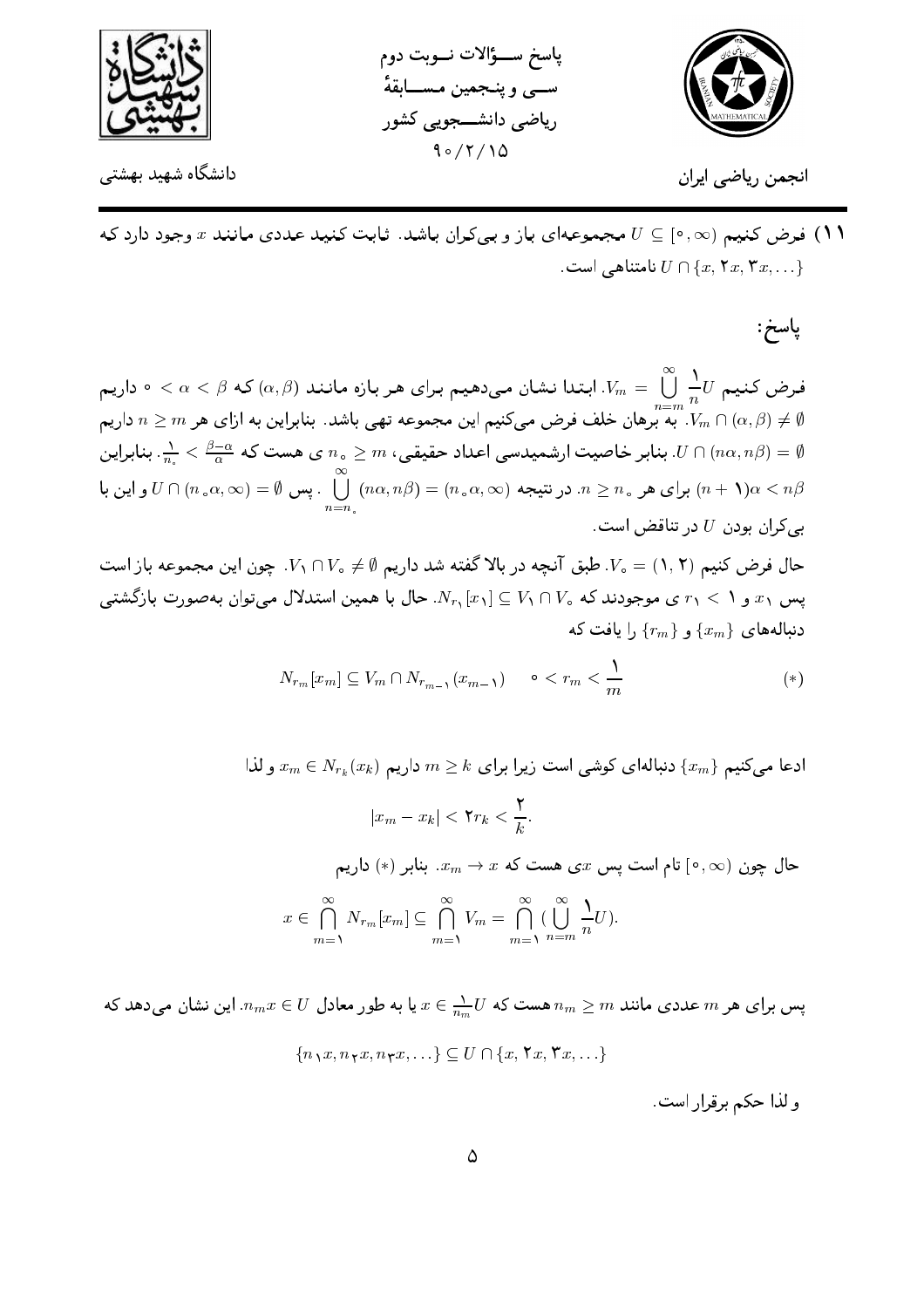



انجمن ریاضے ایران

۱۱) فرض کنیم (۰٫۵٪ ] ے U مجموعهای باز و بی کران باشد. ثابت کنید عددی مانند x وجود دارد که . نامتناهے  $U \cap \{x, \mathsf{Y}x, \mathsf{Y}x, \ldots\}$ 

پاسخ ســـؤالات نـــوبت دوم ســي و پنــجمين مــســـابقهٔ

ریاضی دانشـــجویی کشور  $90/7/10$ 

## ياسخ:

فرض کنیم  $U$ ر  $\sum_{n=m}^\infty\frac{1}{n}$ . ابتدا نشان میدهیم برای هر بازه مانند  $(\alpha,\beta)$  که  $\alpha<\beta\leq\alpha<\infty$  داریم به تصویر می کنیم این مجموعه تهی باشد. بنابراین به ازای هر  $n\geq m$  داریم  $n\geq m$  داریم  $V_m\cap(\alpha,\beta)\neq\emptyset$ بنابر خاصیت ارشمیدسی اعداد حقیقی،  $m$   $n_s \geq n$ ی هست که  $\frac{\beta-\alpha}{n} < \frac{1}{n}$ . بنابراین  $U \cap (n\alpha, n\beta) = \emptyset$ برای هر  $n\geq n$  در نتیجه  $(n\circ n, \infty)=(n\circ n, \infty) = U\cap (n\circ n, \infty)=U$  و این با  $U\cap (n\circ n, \infty)=\bigcup_{n=-n}^\infty (n\circ n)$  $L$ بے کران بودن  $U$  در تناقض است

حال فرض کنیم ( ۰٫۲) = V، طبق آنچه در بالا گفته شد داریم (۰٫۵ × ۲٫ ۲٫ چون این مجموعه باز است پس ۳٫ و ۱ $r_1 < r_2$ ی موجودند که  $V_1 \cap V_2 \subseteq N_{r_1}[x_1]$ . حال با همین استدلال میتوان بهصورت بازگشتبی دنبالههای  $\{x_m\}$  و  $\{r_m\}$ , ا یافت که

$$
N_{r_m}[x_m] \subseteq V_m \cap N_{r_{m-1}}(x_{m-1}) \qquad \circ < r_m < \frac{1}{m} \tag{*}
$$

ادعا میکنیم  $\{x_m\}$  دنبالهای کوشی است زیرا برای  $k \geq m \geq m$  داریم  $x_m \in N_{r_k}(x_k)$  و لذا  $|x_m-x_k|<\mathbf{Y}r_k<\frac{\mathbf{Y}}{k}.$ حال چون  $[\,\circ\,,\infty)$  تام است پس  $x$ ی هست که  $x\,\to\,x$ . بنابر  $(\,\ast\,)$  داریم  $x \in \bigcap_{m=1}^{\infty} N_{r_m}[x_m] \subseteq \bigcap_{m=1}^{\infty} V_m = \bigcap_{m=1}^{\infty} (\bigcup_{n=m}^{\infty} \frac{1}{n}U).$ 

پس برای هر  $m$  عددی مانند  $m \geq m$  هست که  $x \in \frac{1}{n_m}$  با به طور معادل  $x \in U$  . این نشان میدهد که  ${n_1x, n_1x, n_1x, \ldots} \subseteq U \cap {x, \forall x, \forall x, \ldots}$ 

و لذا حكم برقرار است.